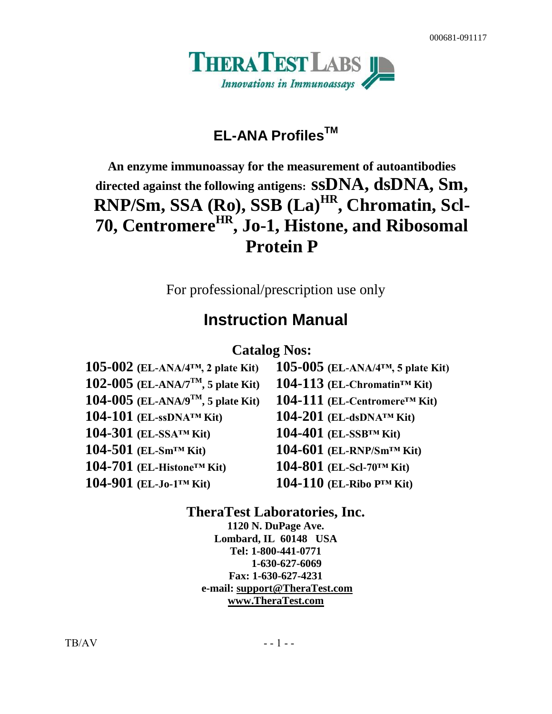

# **EL-ANA ProfilesTM**

# **An enzyme immunoassay for the measurement of autoantibodies directed against the following antigens: ssDNA, dsDNA, Sm, RNP/Sm, SSA (Ro), SSB (La)HR , Chromatin, Scl-70, CentromereHR , Jo-1, Histone, and Ribosomal Protein P**

For professional/prescription use only

# **Instruction Manual**

### **Catalog Nos:**

| 105-002 (EL-ANA/ $4TM$ , 2 plate Kit)          |
|------------------------------------------------|
| 102-005 (EL-ANA/7 <sup>TM</sup> , 5 plate Kit) |
| 104-005 (EL-ANA/ $9^{TM}$ , 5 plate Kit)       |
| $104-101$ (EL-ssDNA <sup>TM</sup> Kit)         |
| 104-301 (EL-SSA <sup>TM</sup> Kit)             |
| 104-501 (EL-Sm <sup>TM</sup> Kit)              |
| 104-701 (EL-Histone <sup>™</sup> Kit)          |
| $104-901$ (EL-Jo-1 <sup>TM</sup> Kit)          |

**105-002 (EL-ANA/4™, 2 plate Kit) 105-005 (EL-ANA/4™, 5 plate Kit)**  $104-113$  (EL-Chromatin<sup>TM</sup> Kit) **104-005 (EL-ANA/9TM, 5 plate Kit) 104-111 (EL-Centromere™ Kit) 104-101 (EL-ssDNA™ Kit) 104-201 (EL-dsDNA™ Kit) 104-301 (EL-SSA™ Kit) 104-401 (EL-SSB™ Kit) 104-501 (EL-Sm™ Kit) 104-601 (EL-RNP/Sm™ Kit)**  $104-801$  (EL-Scl-70<sup>TM</sup> Kit) **104-901 (EL-Jo-1™ Kit) 104-110 (EL-Ribo P™ Kit)**

### **TheraTest Laboratories, Inc.**

**1120 N. DuPage Ave. Lombard, IL 60148 USA Tel: 1-800-441-0771 1-630-627-6069 Fax: 1-630-627-4231 e-mail: [support@TheraTest.com](mailto:sm@TheraTest.com) [www.TheraTest.com](http://www.theratest.com/)**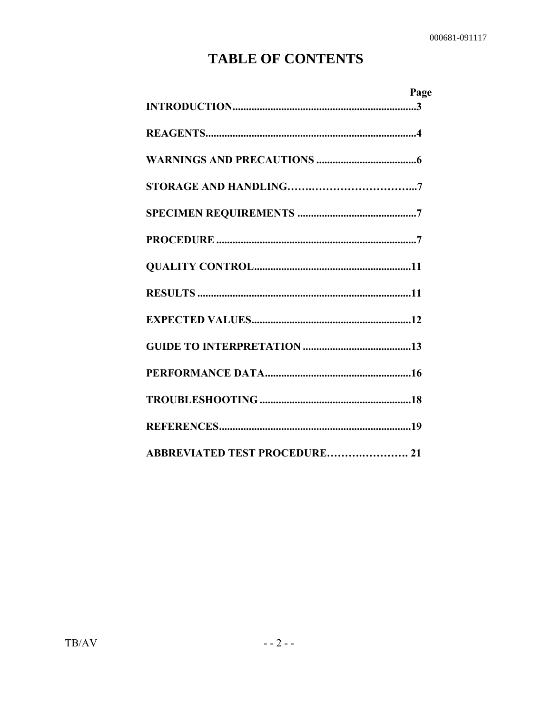# **TABLE OF CONTENTS**

| Page                          |
|-------------------------------|
|                               |
|                               |
|                               |
|                               |
|                               |
|                               |
|                               |
|                               |
|                               |
|                               |
|                               |
|                               |
|                               |
| ABBREVIATED TEST PROCEDURE 21 |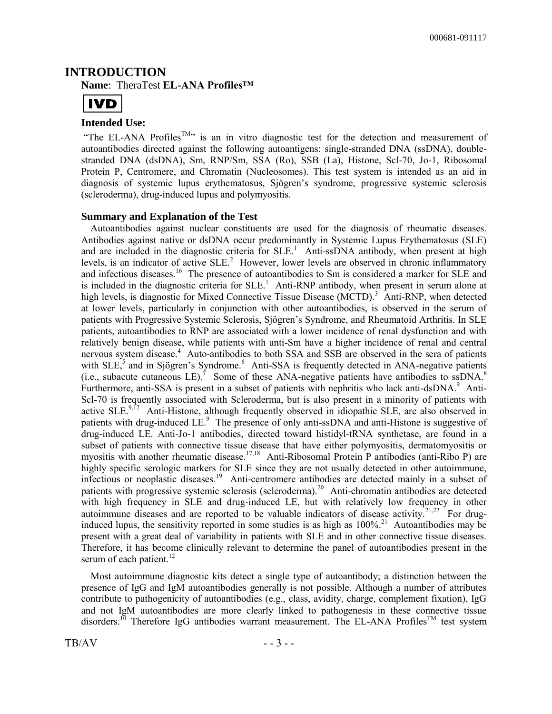#### **INTRODUCTION Name**: TheraTest **EL-ANA Profiles™**



#### **Intended Use:**

"The EL-ANA Profiles<sup>TM</sup>" is an in vitro diagnostic test for the detection and measurement of autoantibodies directed against the following autoantigens: single-stranded DNA (ssDNA), doublestranded DNA (dsDNA), Sm, RNP/Sm, SSA (Ro), SSB (La), Histone, Scl-70, Jo-1, Ribosomal Protein P, Centromere, and Chromatin (Nucleosomes). This test system is intended as an aid in diagnosis of systemic lupus erythematosus, Sjögren's syndrome, progressive systemic sclerosis (scleroderma), drug-induced lupus and polymyositis.

#### **Summary and Explanation of the Test**

Autoantibodies against nuclear constituents are used for the diagnosis of rheumatic diseases. Antibodies against native or dsDNA occur predominantly in Systemic Lupus Erythematosus (SLE) and are included in the diagnostic criteria for  $SLE<sup>1</sup>$ . Anti-ssDNA antibody, when present at high levels, is an indicator of active  $SLE<sup>2</sup>$ . However, lower levels are observed in chronic inflammatory and infectious diseases.<sup>16</sup> The presence of autoantibodies to Sm is considered a marker for SLE and is included in the diagnostic criteria for  $SLE<sup>1</sup>$ . Anti-RNP antibody, when present in serum alone at high levels, is diagnostic for Mixed Connective Tissue Disease (MCTD).<sup>3</sup> Anti-RNP, when detected at lower levels, particularly in conjunction with other autoantibodies, is observed in the serum of patients with Progressive Systemic Sclerosis, Sjögren's Syndrome, and Rheumatoid Arthritis. In SLE patients, autoantibodies to RNP are associated with a lower incidence of renal dysfunction and with relatively benign disease, while patients with anti-Sm have a higher incidence of renal and central nervous system disease.<sup>4</sup> Auto-antibodies to both SSA and SSB are observed in the sera of patients with SLE,<sup>5</sup> and in Sjögren's Syndrome.<sup>6</sup> Anti-SSA is frequently detected in ANA-negative patients (i.e., subacute cutaneous LE).<sup>7</sup> Some of these ANA-negative patients have antibodies to ssDNA.<sup>8</sup> Furthermore, anti-SSA is present in a subset of patients with nephritis who lack anti-dsDNA.<sup>9</sup> Anti-Scl-70 is frequently associated with Scleroderma, but is also present in a minority of patients with active SLE.<sup>9,12</sup> Anti-Histone, although frequently observed in idiopathic SLE, are also observed in patients with drug-induced LE.<sup>9</sup> The presence of only anti-ssDNA and anti-Histone is suggestive of drug-induced LE. Anti-Jo-1 antibodies, directed toward histidyl-tRNA synthetase, are found in a subset of patients with connective tissue disease that have either polymyositis, dermatomyositis or myositis with another rheumatic disease.<sup>17,18</sup> Anti-Ribosomal Protein P antibodies (anti-Ribo P) are highly specific serologic markers for SLE since they are not usually detected in other autoimmune, infectious or neoplastic diseases.<sup>19</sup> Anti-centromere antibodies are detected mainly in a subset of patients with progressive systemic sclerosis (scleroderma).<sup>20</sup> Anti-chromatin antibodies are detected with high frequency in SLE and drug-induced LE, but with relatively low frequency in other autoimmune diseases and are reported to be valuable indicators of disease activity.<sup>21,22</sup> For druginduced lupus, the sensitivity reported in some studies is as high as  $100\%$ <sup>21</sup> Autoantibodies may be present with a great deal of variability in patients with SLE and in other connective tissue diseases. Therefore, it has become clinically relevant to determine the panel of autoantibodies present in the serum of each patient. $^{12}$ 

Most autoimmune diagnostic kits detect a single type of autoantibody; a distinction between the presence of IgG and IgM autoantibodies generally is not possible. Although a number of attributes contribute to pathogenicity of autoantibodies (e.g., class, avidity, charge, complement fixation), IgG and not IgM autoantibodies are more clearly linked to pathogenesis in these connective tissue disorders.<sup>10</sup> Therefore IgG antibodies warrant measurement. The EL-ANA Profiles<sup>TM</sup> test system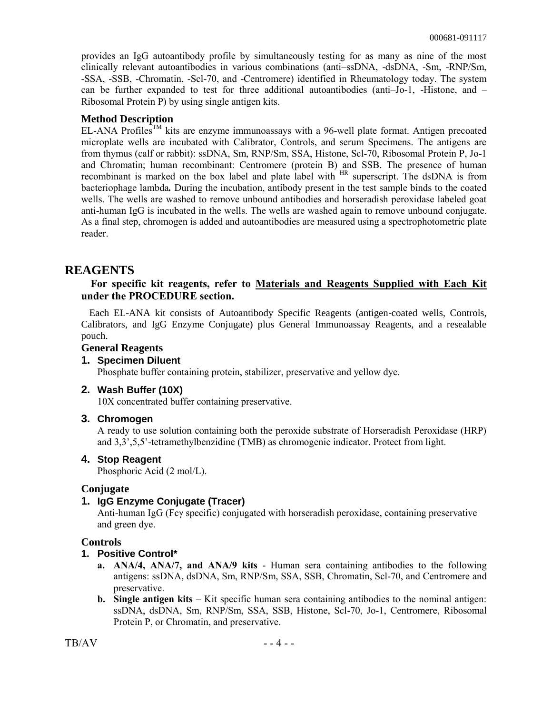provides an IgG autoantibody profile by simultaneously testing for as many as nine of the most clinically relevant autoantibodies in various combinations (anti–ssDNA, -dsDNA, -Sm, -RNP/Sm, -SSA, -SSB, -Chromatin, -Scl-70, and -Centromere) identified in Rheumatology today. The system can be further expanded to test for three additional autoantibodies (anti–Jo-1, -Histone, and – Ribosomal Protein P) by using single antigen kits.

#### **Method Description**

EL-ANA Profiles<sup>TM</sup> kits are enzyme immunoassays with a 96-well plate format. Antigen precoated microplate wells are incubated with Calibrator, Controls, and serum Specimens. The antigens are from thymus (calf or rabbit): ssDNA, Sm, RNP/Sm, SSA, Histone, Scl-70, Ribosomal Protein P, Jo-1 and Chromatin; human recombinant: Centromere (protein B) and SSB. The presence of human recombinant is marked on the box label and plate label with <sup>HR</sup> superscript. The dsDNA is from bacteriophage lambda*.* During the incubation, antibody present in the test sample binds to the coated wells. The wells are washed to remove unbound antibodies and horseradish peroxidase labeled goat anti-human IgG is incubated in the wells. The wells are washed again to remove unbound conjugate. As a final step, chromogen is added and autoantibodies are measured using a spectrophotometric plate reader.

### **REAGENTS**

#### **For specific kit reagents, refer to Materials and Reagents Supplied with Each Kit under the PROCEDURE section.**

Each EL-ANA kit consists of Autoantibody Specific Reagents (antigen-coated wells, Controls, Calibrators, and IgG Enzyme Conjugate) plus General Immunoassay Reagents, and a resealable pouch.

#### **General Reagents**

#### **1. Specimen Diluent**

Phosphate buffer containing protein, stabilizer, preservative and yellow dye.

#### **2. Wash Buffer (10X)**

10X concentrated buffer containing preservative.

#### **3. Chromogen**

A ready to use solution containing both the peroxide substrate of Horseradish Peroxidase (HRP) and 3,3',5,5'-tetramethylbenzidine (TMB) as chromogenic indicator. Protect from light.

#### **4. Stop Reagent**

Phosphoric Acid (2 mol/L).

#### **Conjugate**

#### **1. IgG Enzyme Conjugate (Tracer)**

Anti-human IgG (Fcγ specific) conjugated with horseradish peroxidase, containing preservative and green dye.

#### **Controls**

#### **1. Positive Control\***

- **a. ANA/4, ANA/7, and ANA/9 kits** Human sera containing antibodies to the following antigens: ssDNA, dsDNA, Sm, RNP/Sm, SSA, SSB, Chromatin, Scl-70, and Centromere and preservative.
- **b.** Single antigen kits Kit specific human sera containing antibodies to the nominal antigen: ssDNA, dsDNA, Sm, RNP/Sm, SSA, SSB, Histone, Scl-70, Jo-1, Centromere, Ribosomal Protein P, or Chromatin, and preservative.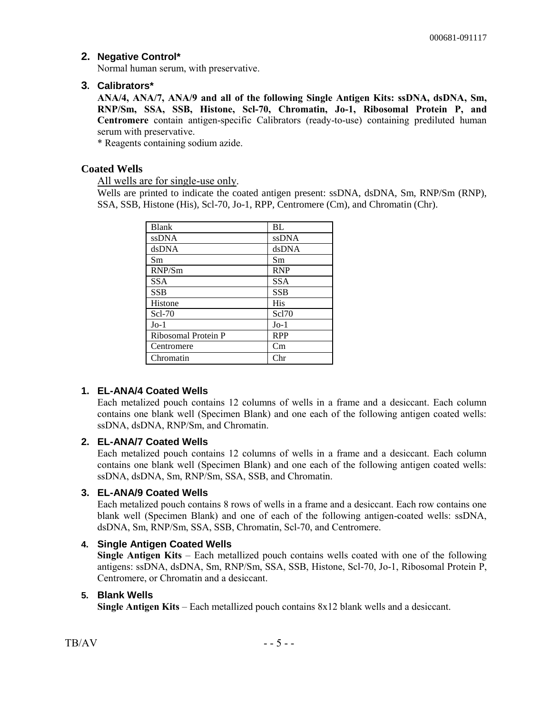#### **2. Negative Control\***

Normal human serum, with preservative.

#### **3. Calibrators\***

**ANA/4, ANA/7, ANA/9 and all of the following Single Antigen Kits: ssDNA, dsDNA, Sm, RNP/Sm, SSA, SSB, Histone, Scl-70, Chromatin, Jo-1, Ribosomal Protein P, and Centromere** contain antigen-specific Calibrators (ready-to-use) containing prediluted human serum with preservative.

\* Reagents containing sodium azide.

#### **Coated Wells**

All wells are for single-use only.

Wells are printed to indicate the coated antigen present: ssDNA, dsDNA, Sm, RNP/Sm (RNP), SSA, SSB, Histone (His), Scl-70, Jo-1, RPP, Centromere (Cm), and Chromatin (Chr).

| <b>Blank</b>        | <b>BL</b>    |
|---------------------|--------------|
| <b>ssDNA</b>        | <b>ssDNA</b> |
| dsDNA               | dsDNA        |
| Sm                  | Sm           |
| RNP/Sm              | <b>RNP</b>   |
| <b>SSA</b>          | <b>SSA</b>   |
| <b>SSB</b>          | <b>SSB</b>   |
| Histone             | <b>His</b>   |
| Scl-70              | Sc170        |
| $Jo-1$              | $Jo-1$       |
| Ribosomal Protein P | <b>RPP</b>   |
| Centromere          | Cm           |
| Chromatin           | $_{\rm Chr}$ |

### **1. EL-ANA/4 Coated Wells**

Each metalized pouch contains 12 columns of wells in a frame and a desiccant. Each column contains one blank well (Specimen Blank) and one each of the following antigen coated wells: ssDNA, dsDNA, RNP/Sm, and Chromatin.

#### **2. EL-ANA/7 Coated Wells**

Each metalized pouch contains 12 columns of wells in a frame and a desiccant. Each column contains one blank well (Specimen Blank) and one each of the following antigen coated wells: ssDNA, dsDNA, Sm, RNP/Sm, SSA, SSB, and Chromatin.

#### **3. EL-ANA/9 Coated Wells**

Each metalized pouch contains 8 rows of wells in a frame and a desiccant. Each row contains one blank well (Specimen Blank) and one of each of the following antigen-coated wells: ssDNA, dsDNA, Sm, RNP/Sm, SSA, SSB, Chromatin, Scl-70, and Centromere.

#### **4. Single Antigen Coated Wells**

**Single Antigen Kits** – Each metallized pouch contains wells coated with one of the following antigens: ssDNA, dsDNA, Sm, RNP/Sm, SSA, SSB, Histone, Scl-70, Jo-1, Ribosomal Protein P, Centromere, or Chromatin and a desiccant.

#### **5. Blank Wells**

**Single Antigen Kits** – Each metallized pouch contains 8x12 blank wells and a desiccant.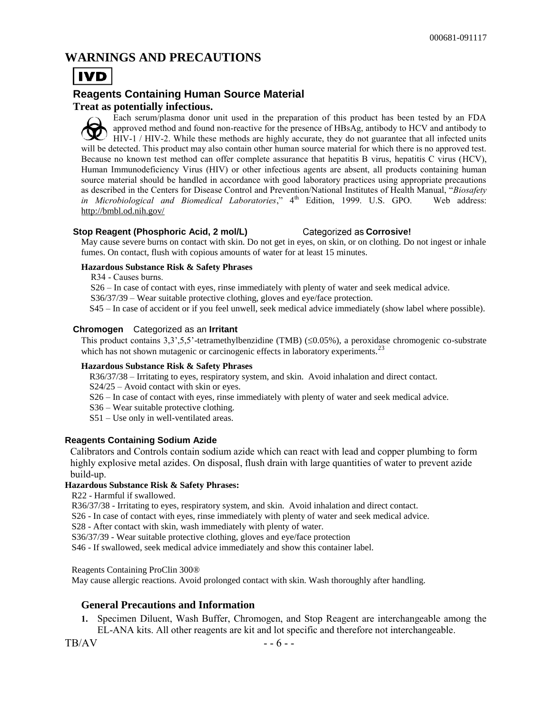### **WARNINGS AND PRECAUTIONS**



### **Reagents Containing Human Source Material**

#### **Treat as potentially infectious.**

Each serum/plasma donor unit used in the preparation of this product has been tested by an FDA approved method and found non-reactive for the presence of HBsAg, antibody to HCV and antibody to HIV-1 / HIV-2. While these methods are highly accurate, they do not guarantee that all infected units will be detected. This product may also contain other human source material for which there is no approved test. Because no known test method can offer complete assurance that hepatitis B virus, hepatitis C virus (HCV), Human Immunodeficiency Virus (HIV) or other infectious agents are absent, all products containing human source material should be handled in accordance with good laboratory practices using appropriate precautions as described in the Centers for Disease Control and Prevention/National Institutes of Health Manual, "*Biosafety in Microbiological and Biomedical Laboratories*," 4<sup>th</sup> Edition, 1999. U.S. GPO. Web address: <http://bmbl.od.nih.gov/>

#### **Stop Reagent (Phosphoric Acid, 2 mol/L)** Categorized as Corrosive!

May cause severe burns on contact with skin. Do not get in eyes, on skin, or on clothing. Do not ingest or inhale fumes. On contact, flush with copious amounts of water for at least 15 minutes.

#### **Hazardous Substance Risk & Safety Phrases**

R34 - Causes burns.

S26 – In case of contact with eyes, rinse immediately with plenty of water and seek medical advice.

S36/37/39 – Wear suitable protective clothing, gloves and eye/face protection.

S45 – In case of accident or if you feel unwell, seek medical advice immediately (show label where possible).

#### **Chromogen** Categorized as an **Irritant**

This product contains  $3,3^{\prime},5,5^{\prime}$ -tetramethylbenzidine (TMB) ( $\leq 0.05\%$ ), a peroxidase chromogenic co-substrate which has not shown mutagenic or carcinogenic effects in laboratory experiments.<sup>23</sup>

#### **Hazardous Substance Risk & Safety Phrases**

R36/37/38 – Irritating to eyes, respiratory system, and skin. Avoid inhalation and direct contact.

S24/25 – Avoid contact with skin or eyes.

S26 – In case of contact with eyes, rinse immediately with plenty of water and seek medical advice.

S36 – Wear suitable protective clothing.

S51 – Use only in well-ventilated areas.

#### **Reagents Containing Sodium Azide**

Calibrators and Controls contain sodium azide which can react with lead and copper plumbing to form highly explosive metal azides. On disposal, flush drain with large quantities of water to prevent azide build-up.

#### **Hazardous Substance Risk & Safety Phrases:**

R22 - Harmful if swallowed.

R36/37/38 - Irritating to eyes, respiratory system, and skin. Avoid inhalation and direct contact.

S26 - In case of contact with eyes, rinse immediately with plenty of water and seek medical advice.

S28 - After contact with skin, wash immediately with plenty of water.

S36/37/39 - Wear suitable protective clothing, gloves and eye/face protection

S46 - If swallowed, seek medical advice immediately and show this container label.

Reagents Containing ProClin 300®

May cause allergic reactions. Avoid prolonged contact with skin. Wash thoroughly after handling.

#### **General Precautions and Information**

**1.** Specimen Diluent, Wash Buffer, Chromogen, and Stop Reagent are interchangeable among the EL-ANA kits. All other reagents are kit and lot specific and therefore not interchangeable.

 $TB/AV$  - - 6 - -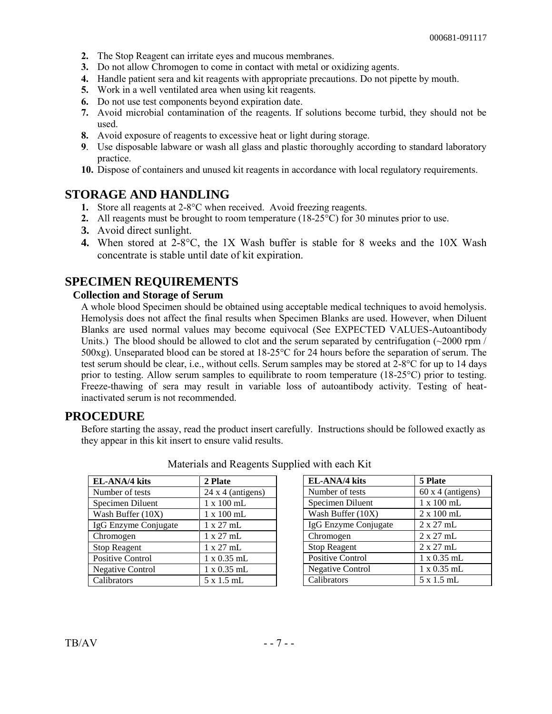- **2.** The Stop Reagent can irritate eyes and mucous membranes.
- **3.** Do not allow Chromogen to come in contact with metal or oxidizing agents.
- **4.** Handle patient sera and kit reagents with appropriate precautions. Do not pipette by mouth.
- **5.** Work in a well ventilated area when using kit reagents.
- **6.** Do not use test components beyond expiration date.
- **7.** Avoid microbial contamination of the reagents. If solutions become turbid, they should not be used.
- **8.** Avoid exposure of reagents to excessive heat or light during storage.
- **9**. Use disposable labware or wash all glass and plastic thoroughly according to standard laboratory practice.
- **10.** Dispose of containers and unused kit reagents in accordance with local regulatory requirements.

### **STORAGE AND HANDLING**

- **1.** Store all reagents at 2-8°C when received. Avoid freezing reagents.
- **2.** All reagents must be brought to room temperature (18-25°C) for 30 minutes prior to use.
- **3.** Avoid direct sunlight.
- **4.** When stored at 2-8°C, the 1X Wash buffer is stable for 8 weeks and the 10X Wash concentrate is stable until date of kit expiration.

### **SPECIMEN REQUIREMENTS**

#### **Collection and Storage of Serum**

A whole blood Specimen should be obtained using acceptable medical techniques to avoid hemolysis. Hemolysis does not affect the final results when Specimen Blanks are used. However, when Diluent Blanks are used normal values may become equivocal (See EXPECTED VALUES-Autoantibody Units.) The blood should be allowed to clot and the serum separated by centrifugation  $\sim 2000$  rpm / 500xg). Unseparated blood can be stored at 18-25°C for 24 hours before the separation of serum. The test serum should be clear, i.e., without cells. Serum samples may be stored at 2-8°C for up to 14 days prior to testing. Allow serum samples to equilibrate to room temperature (18-25°C) prior to testing. Freeze-thawing of sera may result in variable loss of autoantibody activity. Testing of heatinactivated serum is not recommended.

### **PROCEDURE**

Before starting the assay, read the product insert carefully. Instructions should be followed exactly as they appear in this kit insert to ensure valid results.

| EL-ANA/4 kits           | 2 Plate                  |
|-------------------------|--------------------------|
| Number of tests         | $24 \times 4$ (antigens) |
| Specimen Diluent        | 1 x 100 mL               |
| Wash Buffer (10X)       | $1 \times 100$ mL        |
| IgG Enzyme Conjugate    | 1 x 27 mL                |
| Chromogen               | 1 x 27 mL                |
| <b>Stop Reagent</b>     | 1 x 27 mL                |
| <b>Positive Control</b> | $1 \times 0.35$ mL       |
| <b>Negative Control</b> | 1 x 0.35 mL              |
| Calibrators             | 5 x 1.5 mL               |

Materials and Reagents Supplied with each Kit

| EL-ANA/4 kits           | 5 Plate            |
|-------------------------|--------------------|
| Number of tests         | 60 x 4 (antigens)  |
| Specimen Diluent        | $1 \times 100$ mL  |
| Wash Buffer (10X)       | $2 \times 100$ mL  |
| IgG Enzyme Conjugate    | $2 \times 27$ mL   |
| Chromogen               | $2 \times 27$ mL   |
| <b>Stop Reagent</b>     | $2 \times 27$ mL   |
| Positive Control        | $1 \times 0.35$ mL |
| <b>Negative Control</b> | $1 \times 0.35$ mL |
| Calibrators             | $5 \times 1.5$ mL  |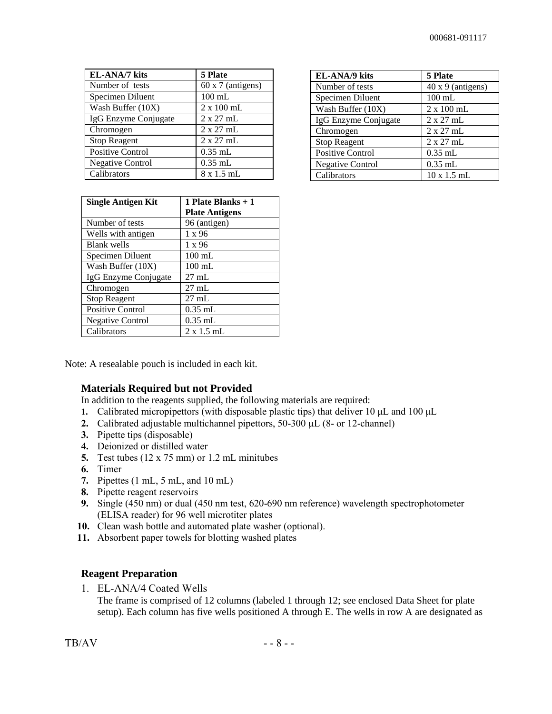| EL-ANA/7 kits           | 5 Plate                  |
|-------------------------|--------------------------|
| Number of tests         | $60 \times 7$ (antigens) |
| Specimen Diluent        | $100$ mL                 |
| Wash Buffer (10X)       | $2 \times 100$ mL        |
| IgG Enzyme Conjugate    | $2 \times 27$ mL         |
| Chromogen               | $2 \times 27$ mL         |
| <b>Stop Reagent</b>     | $2 \times 27$ mL         |
| <b>Positive Control</b> | $0.35$ mL                |
| <b>Negative Control</b> | $0.35$ mL                |
| Calibrators             | $8 \times 1.5$ mL        |

| <b>EL-ANA/9</b> kits    | 5 Plate                  |
|-------------------------|--------------------------|
| Number of tests         | $40 \times 9$ (antigens) |
| Specimen Diluent        | $100$ mL                 |
| Wash Buffer (10X)       | $2 \times 100$ mL        |
| IgG Enzyme Conjugate    | $2 \times 27$ mL         |
| Chromogen               | $2 \times 27$ mL         |
| <b>Stop Reagent</b>     | $2 \times 27$ mL         |
| <b>Positive Control</b> | $0.35$ mL                |
| <b>Negative Control</b> | $0.35$ mL                |
| Calibrators             | $10 \times 1.5$ mL       |

| <b>Single Antigen Kit</b> | 1 Plate Blanks + 1    |
|---------------------------|-----------------------|
|                           | <b>Plate Antigens</b> |
| Number of tests           | 96 (antigen)          |
| Wells with antigen        | $1 \times 96$         |
| <b>Blank</b> wells        | $1 \times 96$         |
| Specimen Diluent          | $100 \text{ mL}$      |
| Wash Buffer (10X)         | $100 \text{ mL}$      |
| IgG Enzyme Conjugate      | $27 \text{ mL}$       |
| Chromogen                 | $27 \text{ mL}$       |
| <b>Stop Reagent</b>       | $27 \text{ mL}$       |
| Positive Control          | $0.35$ mL             |
| <b>Negative Control</b>   | $0.35$ mL             |
| Calibrators               | $2 \times 1.5$ mL     |

Note: A resealable pouch is included in each kit.

#### **Materials Required but not Provided**

In addition to the reagents supplied, the following materials are required:

- **1.** Calibrated micropipettors (with disposable plastic tips) that deliver 10 μL and 100 μL
- **2.** Calibrated adjustable multichannel pipettors,  $50-300 \mu L$  (8- or 12-channel)
- **3.** Pipette tips (disposable)
- **4.** Deionized or distilled water
- **5.** Test tubes (12 x 75 mm) or 1.2 mL minitubes
- **6.** Timer
- **7.** Pipettes (1 mL, 5 mL, and 10 mL)
- **8.** Pipette reagent reservoirs
- **9.** Single (450 nm) or dual (450 nm test, 620-690 nm reference) wavelength spectrophotometer (ELISA reader) for 96 well microtiter plates
- **10.** Clean wash bottle and automated plate washer (optional).
- **11.** Absorbent paper towels for blotting washed plates

#### **Reagent Preparation**

1. EL-ANA/4 Coated Wells

The frame is comprised of 12 columns (labeled 1 through 12; see enclosed Data Sheet for plate setup). Each column has five wells positioned A through E. The wells in row A are designated as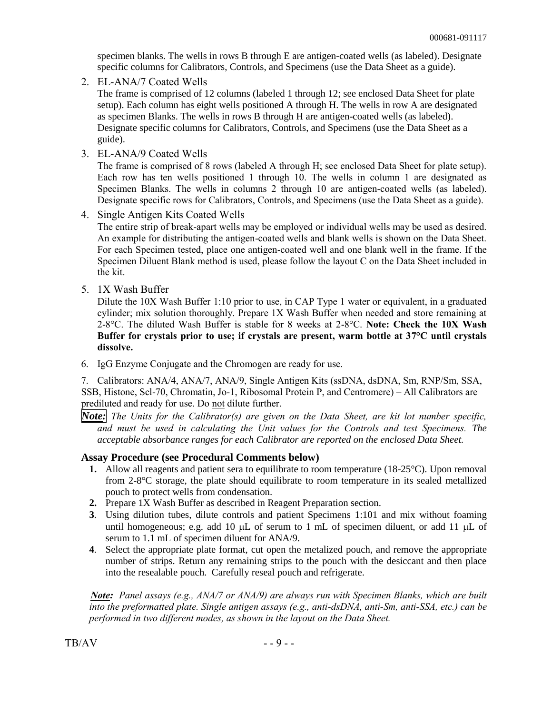specimen blanks. The wells in rows B through E are antigen-coated wells (as labeled). Designate specific columns for Calibrators, Controls, and Specimens (use the Data Sheet as a guide).

2. EL-ANA/7 Coated Wells

The frame is comprised of 12 columns (labeled 1 through 12; see enclosed Data Sheet for plate setup). Each column has eight wells positioned A through H. The wells in row A are designated as specimen Blanks. The wells in rows B through H are antigen-coated wells (as labeled). Designate specific columns for Calibrators, Controls, and Specimens (use the Data Sheet as a guide).

3. EL-ANA/9 Coated Wells

The frame is comprised of 8 rows (labeled A through H; see enclosed Data Sheet for plate setup). Each row has ten wells positioned 1 through 10. The wells in column 1 are designated as Specimen Blanks. The wells in columns 2 through 10 are antigen-coated wells (as labeled). Designate specific rows for Calibrators, Controls, and Specimens (use the Data Sheet as a guide).

4. Single Antigen Kits Coated Wells

The entire strip of break-apart wells may be employed or individual wells may be used as desired. An example for distributing the antigen-coated wells and blank wells is shown on the Data Sheet. For each Specimen tested, place one antigen-coated well and one blank well in the frame. If the Specimen Diluent Blank method is used, please follow the layout C on the Data Sheet included in the kit.

5. 1X Wash Buffer

Dilute the 10X Wash Buffer 1:10 prior to use, in CAP Type 1 water or equivalent, in a graduated cylinder; mix solution thoroughly. Prepare 1X Wash Buffer when needed and store remaining at 2-8°C. The diluted Wash Buffer is stable for 8 weeks at 2-8°C. **Note: Check the 10X Wash Buffer for crystals prior to use; if crystals are present, warm bottle at 37°C until crystals dissolve.**

6. IgG Enzyme Conjugate and the Chromogen are ready for use.

7. Calibrators: ANA/4, ANA/7, ANA/9, Single Antigen Kits (ssDNA, dsDNA, Sm, RNP/Sm, SSA, SSB, Histone, Scl-70, Chromatin, Jo-1, Ribosomal Protein P, and Centromere) – All Calibrators are prediluted and ready for use. Do not dilute further.

*Note: The Units for the Calibrator(s) are given on the Data Sheet, are kit lot number specific, and must be used in calculating the Unit values for the Controls and test Specimens. The acceptable absorbance ranges for each Calibrator are reported on the enclosed Data Sheet.* 

#### **Assay Procedure (see Procedural Comments below)**

- **1.** Allow all reagents and patient sera to equilibrate to room temperature (18-25°C). Upon removal from 2-8°C storage, the plate should equilibrate to room temperature in its sealed metallized pouch to protect wells from condensation.
- **2.** Prepare 1X Wash Buffer as described in Reagent Preparation section.
- **3**. Using dilution tubes, dilute controls and patient Specimens 1:101 and mix without foaming until homogeneous; e.g. add 10  $\mu$ L of serum to 1 mL of specimen diluent, or add 11  $\mu$ L of serum to 1.1 mL of specimen diluent for ANA/9.
- **4**. Select the appropriate plate format, cut open the metalized pouch, and remove the appropriate number of strips. Return any remaining strips to the pouch with the desiccant and then place into the resealable pouch. Carefully reseal pouch and refrigerate.

*Note: Panel assays (e.g., ANA/7 or ANA/9) are always run with Specimen Blanks, which are built into the preformatted plate. Single antigen assays (e.g., anti-dsDNA, anti-Sm, anti-SSA, etc.) can be performed in two different modes, as shown in the layout on the Data Sheet.*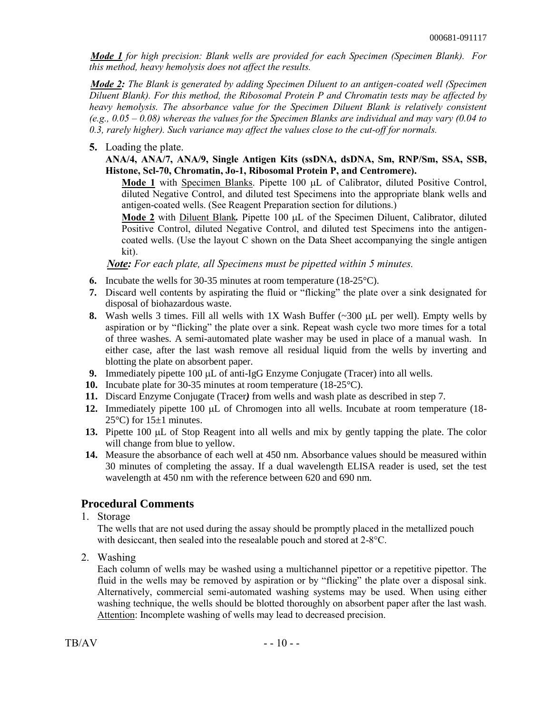*Mode 1 for high precision: Blank wells are provided for each Specimen (Specimen Blank). For this method, heavy hemolysis does not affect the results.* 

*Mode 2: The Blank is generated by adding Specimen Diluent to an antigen-coated well (Specimen Diluent Blank). For this method, the Ribosomal Protein P and Chromatin tests may be affected by heavy hemolysis. The absorbance value for the Specimen Diluent Blank is relatively consistent (e.g., 0.05 – 0.08) whereas the values for the Specimen Blanks are individual and may vary (0.04 to 0.3, rarely higher). Such variance may affect the values close to the cut-off for normals.* 

#### **5.** Loading the plate.

**ANA/4, ANA/7, ANA/9, Single Antigen Kits (ssDNA, dsDNA, Sm, RNP/Sm, SSA, SSB, Histone, Scl-70, Chromatin, Jo-1, Ribosomal Protein P, and Centromere).**

Mode 1 with Specimen Blanks. Pipette 100  $\mu$ L of Calibrator, diluted Positive Control, diluted Negative Control, and diluted test Specimens into the appropriate blank wells and antigen-coated wells. (See Reagent Preparation section for dilutions.)

**Mode 2** with Diluent Blank. Pipette 100  $\mu$ L of the Specimen Diluent, Calibrator, diluted Positive Control, diluted Negative Control, and diluted test Specimens into the antigencoated wells. (Use the layout C shown on the Data Sheet accompanying the single antigen kit).

*Note: For each plate, all Specimens must be pipetted within 5 minutes.*

- **6.** Incubate the wells for 30-35 minutes at room temperature (18-25°C).
- **7.** Discard well contents by aspirating the fluid or "flicking" the plate over a sink designated for disposal of biohazardous waste.
- **8.** Wash wells 3 times. Fill all wells with  $1X$  Wash Buffer  $(\sim 300 \mu L)$  per well). Empty wells by aspiration or by "flicking" the plate over a sink. Repeat wash cycle two more times for a total of three washes. A semi-automated plate washer may be used in place of a manual wash. In either case, after the last wash remove all residual liquid from the wells by inverting and blotting the plate on absorbent paper.
- **9.** Immediately pipette 100  $\mu$ L of anti-IgG Enzyme Conjugate (Tracer) into all wells.
- **10.** Incubate plate for 30-35 minutes at room temperature (18-25°C).
- **11.** Discard Enzyme Conjugate (Tracer*)* from wells and wash plate as described in step 7.
- **12.** Immediately pipette 100 µL of Chromogen into all wells. Incubate at room temperature (18-25 $\degree$ C) for 15 $\pm$ 1 minutes.
- **13.** Pipette 100 µL of Stop Reagent into all wells and mix by gently tapping the plate. The color will change from blue to yellow.
- **14.** Measure the absorbance of each well at 450 nm. Absorbance values should be measured within 30 minutes of completing the assay. If a dual wavelength ELISA reader is used, set the test wavelength at 450 nm with the reference between 620 and 690 nm.

### **Procedural Comments**

1. Storage

The wells that are not used during the assay should be promptly placed in the metallized pouch with desiccant, then sealed into the resealable pouch and stored at 2-8°C.

2. Washing

Each column of wells may be washed using a multichannel pipettor or a repetitive pipettor. The fluid in the wells may be removed by aspiration or by "flicking" the plate over a disposal sink. Alternatively, commercial semi-automated washing systems may be used. When using either washing technique, the wells should be blotted thoroughly on absorbent paper after the last wash. Attention: Incomplete washing of wells may lead to decreased precision.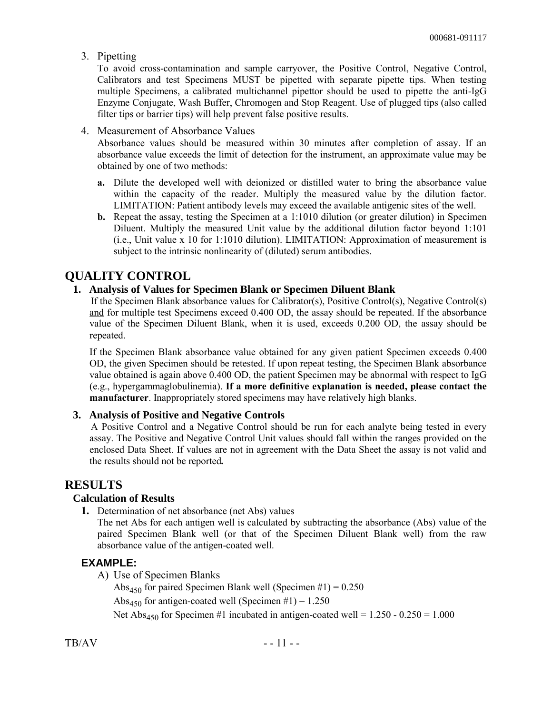3. Pipetting

To avoid cross-contamination and sample carryover, the Positive Control, Negative Control, Calibrators and test Specimens MUST be pipetted with separate pipette tips. When testing multiple Specimens, a calibrated multichannel pipettor should be used to pipette the anti-IgG Enzyme Conjugate, Wash Buffer, Chromogen and Stop Reagent. Use of plugged tips (also called filter tips or barrier tips) will help prevent false positive results.

4. Measurement of Absorbance Values

Absorbance values should be measured within 30 minutes after completion of assay. If an absorbance value exceeds the limit of detection for the instrument, an approximate value may be obtained by one of two methods:

- **a.** Dilute the developed well with deionized or distilled water to bring the absorbance value within the capacity of the reader. Multiply the measured value by the dilution factor. LIMITATION: Patient antibody levels may exceed the available antigenic sites of the well.
- **b.** Repeat the assay, testing the Specimen at a 1:1010 dilution (or greater dilution) in Specimen Diluent. Multiply the measured Unit value by the additional dilution factor beyond 1:101 (i.e., Unit value x 10 for 1:1010 dilution). LIMITATION: Approximation of measurement is subject to the intrinsic nonlinearity of (diluted) serum antibodies.

### **QUALITY CONTROL**

#### **1. Analysis of Values for Specimen Blank or Specimen Diluent Blank**

If the Specimen Blank absorbance values for Calibrator(s), Positive Control(s), Negative Control(s) and for multiple test Specimens exceed 0.400 OD, the assay should be repeated. If the absorbance value of the Specimen Diluent Blank, when it is used, exceeds 0.200 OD, the assay should be repeated.

If the Specimen Blank absorbance value obtained for any given patient Specimen exceeds 0.400 OD, the given Specimen should be retested. If upon repeat testing, the Specimen Blank absorbance value obtained is again above 0.400 OD, the patient Specimen may be abnormal with respect to IgG (e.g., hypergammaglobulinemia). **If a more definitive explanation is needed, please contact the manufacturer**. Inappropriately stored specimens may have relatively high blanks.

#### **3. Analysis of Positive and Negative Controls**

A Positive Control and a Negative Control should be run for each analyte being tested in every assay. The Positive and Negative Control Unit values should fall within the ranges provided on the enclosed Data Sheet. If values are not in agreement with the Data Sheet the assay is not valid and the results should not be reported*.*

### **RESULTS**

#### **Calculation of Results**

**1.** Determination of net absorbance (net Abs) values

The net Abs for each antigen well is calculated by subtracting the absorbance (Abs) value of the paired Specimen Blank well (or that of the Specimen Diluent Blank well) from the raw absorbance value of the antigen-coated well.

#### **EXAMPLE:**

A) Use of Specimen Blanks

Abs<sub>450</sub> for paired Specimen Blank well (Specimen #1) =  $0.250$ Abs<sub>450</sub> for antigen-coated well (Specimen #1) =  $1.250$ Net Abs<sub>450</sub> for Specimen #1 incubated in antigen-coated well =  $1.250 - 0.250 = 1.000$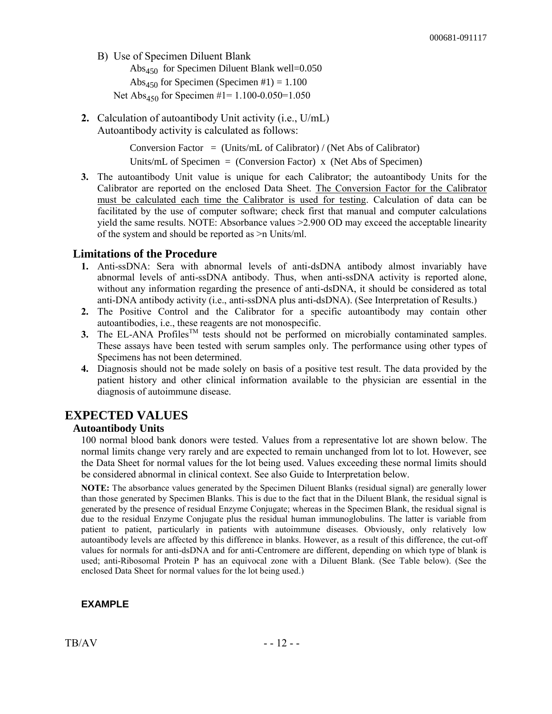B) Use of Specimen Diluent Blank

Abs<sub>450</sub> for Specimen Diluent Blank well= $0.050$ Abs<sub>450</sub> for Specimen (Specimen #1) =  $1.100$ Net Abs<sub>450</sub> for Specimen #1= 1.100-0.050=1.050

**2.** Calculation of autoantibody Unit activity (i.e., U/mL) Autoantibody activity is calculated as follows:

> Conversion Factor = (Units/mL of Calibrator) / (Net Abs of Calibrator) Units/mL of Specimen  $=$  (Conversion Factor) x (Net Abs of Specimen)

**3.** The autoantibody Unit value is unique for each Calibrator; the autoantibody Units for the Calibrator are reported on the enclosed Data Sheet. The Conversion Factor for the Calibrator must be calculated each time the Calibrator is used for testing. Calculation of data can be facilitated by the use of computer software; check first that manual and computer calculations yield the same results. NOTE: Absorbance values >2.900 OD may exceed the acceptable linearity of the system and should be reported as >n Units/ml.

#### **Limitations of the Procedure**

- **1.** Anti-ssDNA: Sera with abnormal levels of anti-dsDNA antibody almost invariably have abnormal levels of anti-ssDNA antibody. Thus, when anti-ssDNA activity is reported alone, without any information regarding the presence of anti-dsDNA, it should be considered as total anti-DNA antibody activity (i.e., anti-ssDNA plus anti-dsDNA). (See Interpretation of Results.)
- **2.** The Positive Control and the Calibrator for a specific autoantibody may contain other autoantibodies, i.e., these reagents are not monospecific.
- **3.** The EL-ANA Profiles<sup>TM</sup> tests should not be performed on microbially contaminated samples. These assays have been tested with serum samples only. The performance using other types of Specimens has not been determined.
- **4.** Diagnosis should not be made solely on basis of a positive test result. The data provided by the patient history and other clinical information available to the physician are essential in the diagnosis of autoimmune disease.

### **EXPECTED VALUES**

#### **Autoantibody Units**

100 normal blood bank donors were tested. Values from a representative lot are shown below. The normal limits change very rarely and are expected to remain unchanged from lot to lot. However, see the Data Sheet for normal values for the lot being used. Values exceeding these normal limits should be considered abnormal in clinical context. See also Guide to Interpretation below.

**NOTE:** The absorbance values generated by the Specimen Diluent Blanks (residual signal) are generally lower than those generated by Specimen Blanks. This is due to the fact that in the Diluent Blank, the residual signal is generated by the presence of residual Enzyme Conjugate; whereas in the Specimen Blank, the residual signal is due to the residual Enzyme Conjugate plus the residual human immunoglobulins. The latter is variable from patient to patient, particularly in patients with autoimmune diseases. Obviously, only relatively low autoantibody levels are affected by this difference in blanks. However, as a result of this difference, the cut-off values for normals for anti-dsDNA and for anti-Centromere are different, depending on which type of blank is used; anti-Ribosomal Protein P has an equivocal zone with a Diluent Blank. (See Table below). (See the enclosed Data Sheet for normal values for the lot being used.)

### **EXAMPLE**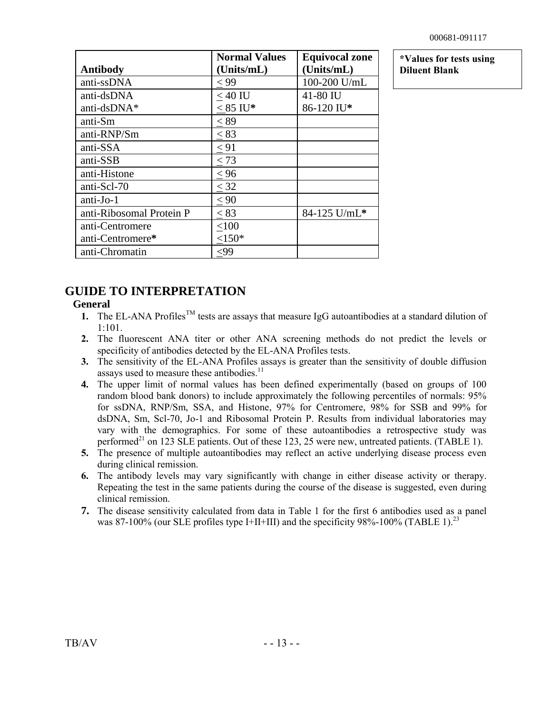| <b>Antibody</b>          | <b>Normal Values</b><br>(Units/mL) | <b>Equivocal zone</b><br>(Units/mL) |
|--------------------------|------------------------------------|-------------------------------------|
| anti-ssDNA               | < 99                               | 100-200 U/mL                        |
| anti-dsDNA               | $< 40$ IU                          | 41-80 IU                            |
| anti-dsDNA*              | $< 85$ IU*                         | 86-120 IU*                          |
| anti-Sm                  | $\leq 89$                          |                                     |
| anti-RNP/Sm              | < 83                               |                                     |
| anti-SSA                 | $\leq 91$                          |                                     |
| anti-SSB                 | < 73                               |                                     |
| anti-Histone             | < 96                               |                                     |
| anti-Scl-70              | $\leq$ 32                          |                                     |
| $anti-Jo-1$              | < 90                               |                                     |
| anti-Ribosomal Protein P | < 83                               | 84-125 U/mL*                        |
| anti-Centromere          | < 100                              |                                     |
| anti-Centromere*         | $<150*$                            |                                     |
| anti-Chromatin           | <99                                |                                     |

**\*Values for tests using Diluent Blank**

## **GUIDE TO INTERPRETATION**

### **General**

- **1.** The EL-ANA Profiles<sup>TM</sup> tests are assays that measure IgG autoantibodies at a standard dilution of 1:101.
- **2.** The fluorescent ANA titer or other ANA screening methods do not predict the levels or specificity of antibodies detected by the EL-ANA Profiles tests.
- **3.** The sensitivity of the EL-ANA Profiles assays is greater than the sensitivity of double diffusion assays used to measure these antibodies.<sup>11</sup>
- **4.** The upper limit of normal values has been defined experimentally (based on groups of 100 random blood bank donors) to include approximately the following percentiles of normals: 95% for ssDNA, RNP/Sm, SSA, and Histone, 97% for Centromere, 98% for SSB and 99% for dsDNA, Sm, Scl-70, Jo-1 and Ribosomal Protein P. Results from individual laboratories may vary with the demographics. For some of these autoantibodies a retrospective study was performed<sup>21</sup> on 123 SLE patients. Out of these 123, 25 were new, untreated patients. (TABLE 1).
- **5.** The presence of multiple autoantibodies may reflect an active underlying disease process even during clinical remission.
- **6.** The antibody levels may vary significantly with change in either disease activity or therapy. Repeating the test in the same patients during the course of the disease is suggested, even during clinical remission.
- **7.** The disease sensitivity calculated from data in Table 1 for the first 6 antibodies used as a panel was 87-100% (our SLE profiles type I+II+III) and the specificity 98%-100% (TABLE 1).<sup>23</sup>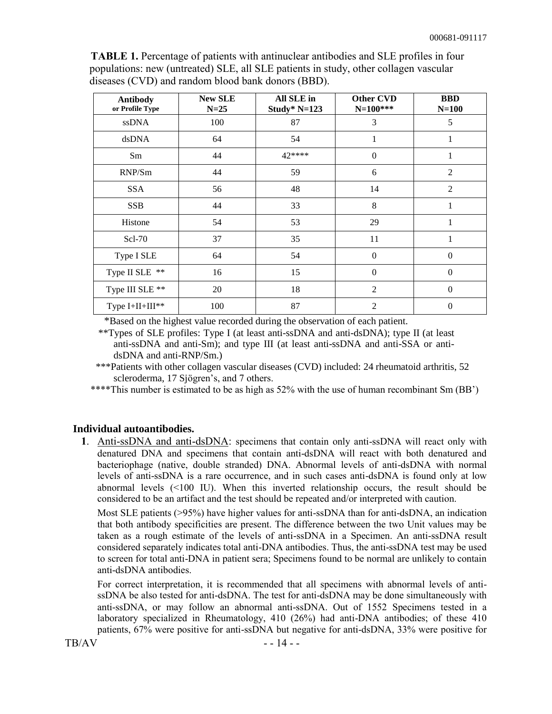**TABLE 1.** Percentage of patients with antinuclear antibodies and SLE profiles in four populations: new (untreated) SLE, all SLE patients in study, other collagen vascular diseases (CVD) and random blood bank donors (BBD).

| <b>Antibody</b><br>or Profile Type | <b>New SLE</b><br>$N=25$ | All SLE in<br>Study* $N=123$ | <b>Other CVD</b><br>$N=100***$ | <b>BBD</b><br>$N=100$ |
|------------------------------------|--------------------------|------------------------------|--------------------------------|-----------------------|
| ssDNA                              | 100                      | 87                           | 3                              | 5                     |
| dsDNA                              | 64                       | 54                           | 1                              |                       |
| Sm                                 | 44                       | $42***$                      | $\boldsymbol{0}$               | 1                     |
| RNP/Sm                             | 44                       | 59                           | 6                              | $\overline{2}$        |
| <b>SSA</b>                         | 56                       | 48                           | 14                             | $\overline{2}$        |
| <b>SSB</b>                         | 44                       | 33                           | 8                              | 1                     |
| Histone                            | 54                       | 53                           | 29                             |                       |
| Scl-70                             | 37                       | 35                           | 11                             | 1                     |
| Type I SLE                         | 64                       | 54                           | $\boldsymbol{0}$               | $\boldsymbol{0}$      |
| Type II SLE **                     | 16                       | 15                           | $\Omega$                       | $\theta$              |
| Type III SLE **                    | 20                       | 18                           | $\overline{2}$                 | $\Omega$              |
| Type I+II+III**                    | 100                      | 87                           | 2                              | $\theta$              |

\*Based on the highest value recorded during the observation of each patient.

 \*\*Types of SLE profiles: Type I (at least anti-ssDNA and anti-dsDNA); type II (at least anti-ssDNA and anti-Sm); and type III (at least anti-ssDNA and anti-SSA or antidsDNA and anti-RNP/Sm.)

 \*\*\*Patients with other collagen vascular diseases (CVD) included: 24 rheumatoid arthritis, 52 scleroderma, 17 Sjögren's, and 7 others.

\*\*\*\*This number is estimated to be as high as 52% with the use of human recombinant Sm (BB')

#### **Individual autoantibodies.**

**1**. Anti-ssDNA and anti-dsDNA: specimens that contain only anti-ssDNA will react only with denatured DNA and specimens that contain anti-dsDNA will react with both denatured and bacteriophage (native, double stranded) DNA. Abnormal levels of anti-dsDNA with normal levels of anti-ssDNA is a rare occurrence, and in such cases anti-dsDNA is found only at low abnormal levels (<100 IU). When this inverted relationship occurs, the result should be considered to be an artifact and the test should be repeated and/or interpreted with caution.

Most SLE patients (>95%) have higher values for anti-ssDNA than for anti-dsDNA, an indication that both antibody specificities are present. The difference between the two Unit values may be taken as a rough estimate of the levels of anti-ssDNA in a Specimen. An anti-ssDNA result considered separately indicates total anti-DNA antibodies. Thus, the anti-ssDNA test may be used to screen for total anti-DNA in patient sera; Specimens found to be normal are unlikely to contain anti-dsDNA antibodies.

For correct interpretation, it is recommended that all specimens with abnormal levels of antissDNA be also tested for anti-dsDNA. The test for anti-dsDNA may be done simultaneously with anti-ssDNA, or may follow an abnormal anti-ssDNA. Out of 1552 Specimens tested in a laboratory specialized in Rheumatology, 410 (26%) had anti-DNA antibodies; of these 410 patients, 67% were positive for anti-ssDNA but negative for anti-dsDNA, 33% were positive for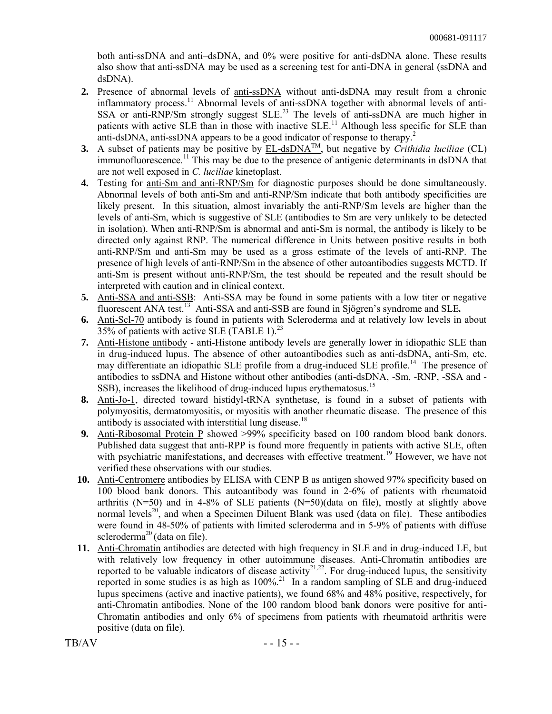both anti-ssDNA and anti–dsDNA, and 0% were positive for anti-dsDNA alone. These results also show that anti-ssDNA may be used as a screening test for anti-DNA in general (ssDNA and dsDNA).

- **2.** Presence of abnormal levels of anti-ssDNA without anti-dsDNA may result from a chronic inflammatory process.<sup>11</sup> Abnormal levels of anti-ssDNA together with abnormal levels of anti-SSA or anti-RNP/Sm strongly suggest  $SLE<sup>23</sup>$  The levels of anti-ssDNA are much higher in patients with active SLE than in those with inactive SLE.<sup>11</sup> Although less specific for SLE than anti-dsDNA, anti-ssDNA appears to be a good indicator of response to therapy.<sup>2</sup>
- **3.** A subset of patients may be positive by  $EL\text{-}dsDNA^{\text{TM}}$ , but negative by *Crithidia luciliae* (CL) immunofluorescence.<sup>11</sup> This may be due to the presence of antigenic determinants in dsDNA that are not well exposed in *C. luciliae* kinetoplast.
- **4.** Testing for anti-Sm and anti-RNP/Sm for diagnostic purposes should be done simultaneously. Abnormal levels of both anti-Sm and anti-RNP/Sm indicate that both antibody specificities are likely present. In this situation, almost invariably the anti-RNP/Sm levels are higher than the levels of anti-Sm, which is suggestive of SLE (antibodies to Sm are very unlikely to be detected in isolation). When anti-RNP/Sm is abnormal and anti-Sm is normal, the antibody is likely to be directed only against RNP. The numerical difference in Units between positive results in both anti-RNP/Sm and anti-Sm may be used as a gross estimate of the levels of anti-RNP. The presence of high levels of anti-RNP/Sm in the absence of other autoantibodies suggests MCTD. If anti-Sm is present without anti-RNP/Sm, the test should be repeated and the result should be interpreted with caution and in clinical context.
- **5.** Anti-SSA and anti-SSB: Anti-SSA may be found in some patients with a low titer or negative fluorescent ANA test.<sup>13</sup> Anti-SSA and anti-SSB are found in Sjögren's syndrome and SLE.
- **6.** Anti-Scl-70 antibody is found in patients with Scleroderma and at relatively low levels in about 35% of patients with active SLE (TABLE 1).<sup>23</sup>
- **7.** Anti-Histone antibody anti-Histone antibody levels are generally lower in idiopathic SLE than in drug-induced lupus. The absence of other autoantibodies such as anti-dsDNA, anti-Sm, etc. may differentiate an idiopathic SLE profile from a drug-induced SLE profile.<sup>14</sup> The presence of antibodies to ssDNA and Histone without other antibodies (anti-dsDNA, -Sm, -RNP, -SSA and - SSB), increases the likelihood of drug-induced lupus erythematosus.<sup>15</sup>
- **8.** Anti-Jo-1, directed toward histidyl-tRNA synthetase, is found in a subset of patients with polymyositis, dermatomyositis, or myositis with another rheumatic disease. The presence of this antibody is associated with interstitial lung disease.<sup>18</sup>
- **9.** Anti-Ribosomal Protein P showed >99% specificity based on 100 random blood bank donors. Published data suggest that anti-RPP is found more frequently in patients with active SLE, often with psychiatric manifestations, and decreases with effective treatment.<sup>19</sup> However, we have not verified these observations with our studies.
- **10.** Anti-Centromere antibodies by ELISA with CENP B as antigen showed 97% specificity based on 100 blood bank donors. This autoantibody was found in 2-6% of patients with rheumatoid arthritis ( $N=50$ ) and in 4-8% of SLE patients ( $N=50$ )(data on file), mostly at slightly above normal levels<sup>20</sup>, and when a Specimen Diluent Blank was used (data on file). These antibodies were found in 48-50% of patients with limited scleroderma and in 5-9% of patients with diffuse scleroderma<sup>20</sup> (data on file).
- **11.** Anti-Chromatin antibodies are detected with high frequency in SLE and in drug-induced LE, but with relatively low frequency in other autoimmune diseases. Anti-Chromatin antibodies are reported to be valuable indicators of disease activity $2^{1,22}$ . For drug-induced lupus, the sensitivity reported in some studies is as high as  $100\%$ <sup>21</sup> In a random sampling of SLE and drug-induced lupus specimens (active and inactive patients), we found 68% and 48% positive, respectively, for anti-Chromatin antibodies. None of the 100 random blood bank donors were positive for anti-Chromatin antibodies and only 6% of specimens from patients with rheumatoid arthritis were positive (data on file).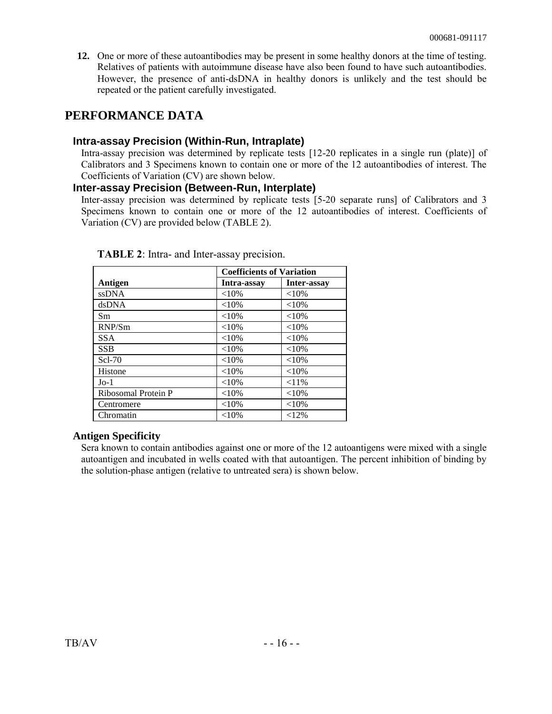**12.** One or more of these autoantibodies may be present in some healthy donors at the time of testing. Relatives of patients with autoimmune disease have also been found to have such autoantibodies. However, the presence of anti-dsDNA in healthy donors is unlikely and the test should be repeated or the patient carefully investigated.

### **PERFORMANCE DATA**

### **Intra-assay Precision (Within-Run, Intraplate)**

Intra-assay precision was determined by replicate tests [12-20 replicates in a single run (plate)] of Calibrators and 3 Specimens known to contain one or more of the 12 autoantibodies of interest. The Coefficients of Variation (CV) are shown below.

### **Inter-assay Precision (Between-Run, Interplate)**

Inter-assay precision was determined by replicate tests [5-20 separate runs] of Calibrators and 3 Specimens known to contain one or more of the 12 autoantibodies of interest. Coefficients of Variation (CV) are provided below (TABLE 2).

|                     | <b>Coefficients of Variation</b> |             |
|---------------------|----------------------------------|-------------|
| Antigen             | Intra-assay                      | Inter-assay |
| <b>ssDNA</b>        | ${<}10\%$                        | ${<}10%$    |
| dsDNA               | ${<}10\%$                        | ${<}10%$    |
| Sm                  | ${<}10%$                         | ${<}10%$    |
| RNP/Sm              | ${<}10\%$                        | ${<}10%$    |
| <b>SSA</b>          | ${<}10\%$                        | ${<}10%$    |
| <b>SSB</b>          | ${<}10%$                         | ${<}10%$    |
| $Scl-70$            | $<10\%$                          | ${<}10%$    |
| Histone             | ${<}10\%$                        | ${<}10%$    |
| $Jo-1$              | ${<}10\%$                        | $< 11\%$    |
| Ribosomal Protein P | ${<}10\%$                        | ${<}10%$    |
| Centromere          | ${<}10\%$                        | ${<}10%$    |
| Chromatin           | ${<}10\%$                        | $<12\%$     |

**TABLE 2**: Intra- and Inter-assay precision.

### **Antigen Specificity**

Sera known to contain antibodies against one or more of the 12 autoantigens were mixed with a single autoantigen and incubated in wells coated with that autoantigen. The percent inhibition of binding by the solution-phase antigen (relative to untreated sera) is shown below.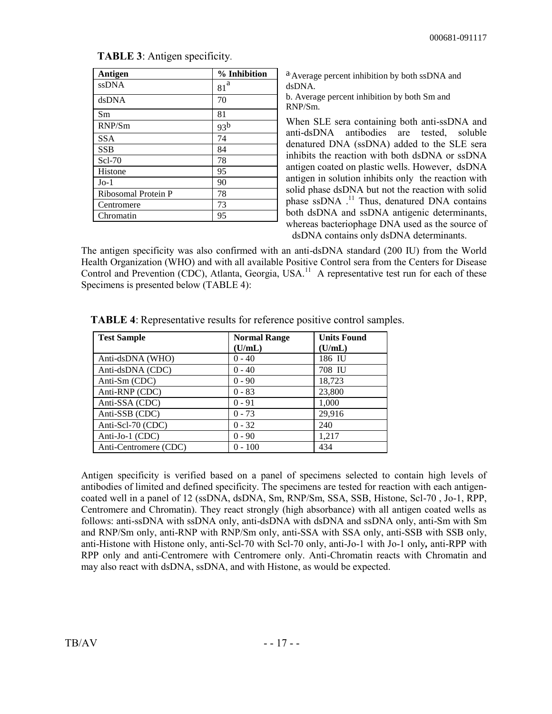| Antigen             | % Inhibition    |
|---------------------|-----------------|
| <b>ssDNA</b>        | a<br>81         |
| dsDNA               | 70              |
| Sm                  | 81              |
| RNP/Sm              | 93 <sup>b</sup> |
| <b>SSA</b>          | 74              |
| <b>SSB</b>          | 84              |
| $Scl-70$            | 78              |
| Histone             | 95              |
| $Jo-1$              | 90              |
| Ribosomal Protein P | 78              |
| Centromere          | 73              |
| Chromatin           | 95              |

**TABLE 3**: Antigen specificity.

a.Average percent inhibition by both ssDNA and dsDNA.

b. Average percent inhibition by both Sm and RNP/Sm.

When SLE sera containing both anti-ssDNA and anti-dsDNA antibodies are tested, soluble denatured DNA (ssDNA) added to the SLE sera inhibits the reaction with both dsDNA or ssDNA antigen coated on plastic wells. However, dsDNA antigen in solution inhibits only the reaction with solid phase dsDNA but not the reaction with solid phase ssDNA .<sup>11</sup> Thus, denatured DNA contains both dsDNA and ssDNA antigenic determinants, whereas bacteriophage DNA used as the source of dsDNA contains only dsDNA determinants.

The antigen specificity was also confirmed with an anti-dsDNA standard (200 IU) from the World Health Organization (WHO) and with all available Positive Control sera from the Centers for Disease Control and Prevention (CDC), Atlanta, Georgia, USA.<sup>11</sup> A representative test run for each of these Specimens is presented below (TABLE 4):

| <b>Test Sample</b>    | <b>Normal Range</b> | <b>Units Found</b> |
|-----------------------|---------------------|--------------------|
|                       | (U/mL)              | (U/mL)             |
| Anti-dsDNA (WHO)      | $0 - 40$            | 186 IU             |
| Anti-dsDNA (CDC)      | $0 - 40$            | 708 IU             |
| Anti-Sm (CDC)         | $0 - 90$            | 18,723             |
| Anti-RNP (CDC)        | $0 - 83$            | 23,800             |
| Anti-SSA (CDC)        | $0 - 91$            | 1,000              |
| Anti-SSB (CDC)        | $0 - 73$            | 29,916             |
| Anti-Scl-70 (CDC)     | $0 - 32$            | 240                |
| Anti-Jo-1 (CDC)       | $0 - 90$            | 1,217              |
| Anti-Centromere (CDC) | $0 - 100$           | 434                |

**TABLE 4**: Representative results for reference positive control samples.

Antigen specificity is verified based on a panel of specimens selected to contain high levels of antibodies of limited and defined specificity. The specimens are tested for reaction with each antigencoated well in a panel of 12 (ssDNA, dsDNA, Sm, RNP/Sm, SSA, SSB, Histone, Scl-70 , Jo-1, RPP, Centromere and Chromatin). They react strongly (high absorbance) with all antigen coated wells as follows: anti-ssDNA with ssDNA only, anti-dsDNA with dsDNA and ssDNA only, anti-Sm with Sm and RNP/Sm only, anti-RNP with RNP/Sm only, anti-SSA with SSA only, anti-SSB with SSB only, anti-Histone with Histone only, anti-Scl-70 with Scl-70 only, anti-Jo-1 with Jo-1 only*,* anti-RPP with RPP only and anti-Centromere with Centromere only. Anti-Chromatin reacts with Chromatin and may also react with dsDNA, ssDNA, and with Histone, as would be expected.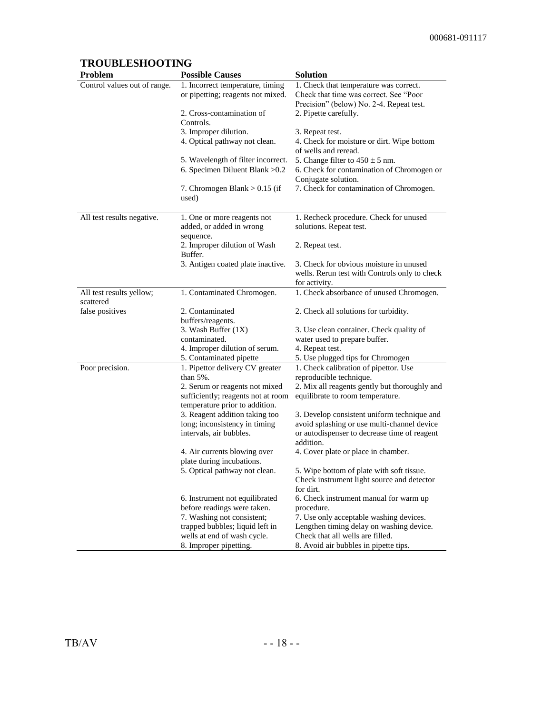### **TROUBLESHOOTING**

| Problem                               | <b>Possible Causes</b>                                          | <b>Solution</b>                                                                            |
|---------------------------------------|-----------------------------------------------------------------|--------------------------------------------------------------------------------------------|
| Control values out of range.          | 1. Incorrect temperature, timing                                | 1. Check that temperature was correct.                                                     |
|                                       | or pipetting; reagents not mixed.                               | Check that time was correct. See "Poor"                                                    |
|                                       |                                                                 | Precision" (below) No. 2-4. Repeat test.                                                   |
|                                       | 2. Cross-contamination of                                       | 2. Pipette carefully.                                                                      |
|                                       | Controls.                                                       |                                                                                            |
|                                       | 3. Improper dilution.                                           | 3. Repeat test.                                                                            |
|                                       | 4. Optical pathway not clean.                                   | 4. Check for moisture or dirt. Wipe bottom<br>of wells and reread.                         |
|                                       | 5. Wavelength of filter incorrect.                              | 5. Change filter to $450 \pm 5$ nm.                                                        |
|                                       | 6. Specimen Diluent Blank > 0.2                                 | 6. Check for contamination of Chromogen or                                                 |
|                                       |                                                                 | Conjugate solution.                                                                        |
|                                       | 7. Chromogen Blank $> 0.15$ (if<br>used)                        | 7. Check for contamination of Chromogen.                                                   |
| All test results negative.            | 1. One or more reagents not                                     | 1. Recheck procedure. Check for unused                                                     |
|                                       | added, or added in wrong                                        | solutions. Repeat test.                                                                    |
|                                       | sequence.                                                       |                                                                                            |
|                                       | 2. Improper dilution of Wash                                    | 2. Repeat test.                                                                            |
|                                       | Buffer.                                                         |                                                                                            |
|                                       | 3. Antigen coated plate inactive.                               | 3. Check for obvious moisture in unused                                                    |
|                                       |                                                                 | wells. Rerun test with Controls only to check                                              |
|                                       |                                                                 | for activity.                                                                              |
| All test results yellow;<br>scattered | 1. Contaminated Chromogen.                                      | 1. Check absorbance of unused Chromogen.                                                   |
| false positives                       | 2. Contaminated                                                 | 2. Check all solutions for turbidity.                                                      |
|                                       | buffers/reagents.                                               |                                                                                            |
|                                       | 3. Wash Buffer $(1X)$                                           | 3. Use clean container. Check quality of                                                   |
|                                       | contaminated.                                                   | water used to prepare buffer.                                                              |
|                                       | 4. Improper dilution of serum.                                  | 4. Repeat test.                                                                            |
|                                       | 5. Contaminated pipette                                         | 5. Use plugged tips for Chromogen                                                          |
| Poor precision.                       | 1. Pipettor delivery CV greater                                 | 1. Check calibration of pipettor. Use                                                      |
|                                       | than 5%.                                                        | reproducible technique.                                                                    |
|                                       | 2. Serum or reagents not mixed                                  | 2. Mix all reagents gently but thoroughly and                                              |
|                                       | sufficiently; reagents not at room                              | equilibrate to room temperature.                                                           |
|                                       | temperature prior to addition.                                  |                                                                                            |
|                                       | 3. Reagent addition taking too<br>long; inconsistency in timing | 3. Develop consistent uniform technique and<br>avoid splashing or use multi-channel device |
|                                       | intervals, air bubbles.                                         | or autodispenser to decrease time of reagent                                               |
|                                       |                                                                 | addition.                                                                                  |
|                                       | 4. Air currents blowing over<br>plate during incubations.       | 4. Cover plate or place in chamber.                                                        |
|                                       | 5. Optical pathway not clean.                                   | 5. Wipe bottom of plate with soft tissue.                                                  |
|                                       |                                                                 | Check instrument light source and detector<br>for dirt.                                    |
|                                       | 6. Instrument not equilibrated                                  | 6. Check instrument manual for warm up                                                     |
|                                       | before readings were taken.                                     | procedure.                                                                                 |
|                                       | 7. Washing not consistent;                                      | 7. Use only acceptable washing devices.                                                    |
|                                       | trapped bubbles; liquid left in                                 | Lengthen timing delay on washing device.                                                   |
|                                       | wells at end of wash cycle.                                     | Check that all wells are filled.                                                           |
|                                       | 8. Improper pipetting.                                          | 8. Avoid air bubbles in pipette tips.                                                      |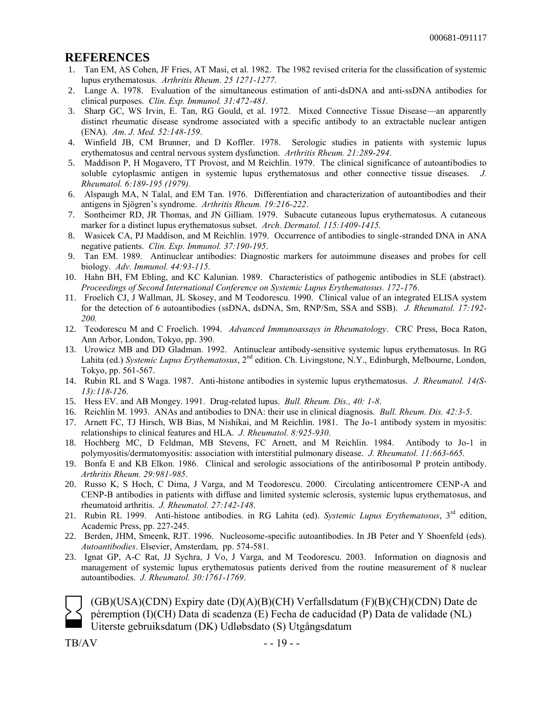#### **REFERENCES**

- 1. Tan EM, AS Cohen, JF Fries, AT Masi, et al. 1982. The 1982 revised criteria for the classification of systemic lupus erythematosus. *Arthritis Rheum. 25 1271-1277*.
- 2. Lange A. 1978. Evaluation of the simultaneous estimation of anti-dsDNA and anti-ssDNA antibodies for clinical purposes. *Clin. Exp. Immunol. 31:472-481.*
- 3. Sharp GC, WS Irvin, E. Tan, RG Gould, et al. 1972. Mixed Connective Tissue Disease—an apparently distinct rheumatic disease syndrome associated with a specific antibody to an extractable nuclear antigen (ENA). *Am. J. Med. 52:148-159*.
- 4. Winfield JB, CM Brunner, and D Koffler. 1978. Serologic studies in patients with systemic lupus erythematosus and central nervous system dysfunction. *Arthritis Rheum. 21:289-294*.
- 5. Maddison P, H Mogavero, TT Provost, and M Reichlin. 1979. The clinical significance of autoantibodies to soluble cytoplasmic antigen in systemic lupus erythematosus and other connective tissue diseases. *Rheumatol. 6:189-195 (1979).*
- 6. Alspaugh MA, N Talal, and EM Tan. 1976. Differentiation and characterization of autoantibodies and their antigens in Sjögren's syndrome. *Arthritis Rheum. 19:216-222*.
- 7. Sontheimer RD, JR Thomas, and JN Gilliam. 1979. Subacute cutaneous lupus erythematosus. A cutaneous marker for a distinct lupus erythematosus subset. *Arch. Dermatol. 115:1409-1415.*
- 8. Wasicek CA, PJ Maddison, and M Reichlin. 1979. Occurrence of antibodies to single-stranded DNA in ANA negative patients. *Clin. Exp. Immunol. 37:190-195*.
- 9. Tan EM. 1989. Antinuclear antibodies: Diagnostic markers for autoimmune diseases and probes for cell biology. *Adv. Immunol. 44:93-115.*
- 10. Hahn BH, FM Ebling, and KC Kalunian. 1989. Characteristics of pathogenic antibodies in SLE (abstract). *Proceedings of Second International Conference on Systemic Lupus Erythematosus. 172-176*.
- 11. Froelich CJ, J Wallman, JL Skosey, and M Teodorescu. 1990. Clinical value of an integrated ELISA system for the detection of 6 autoantibodies (ssDNA, dsDNA, Sm, RNP/Sm, SSA and SSB). *J. Rheumatol. 17:192- 200.*
- 12. Teodorescu M and C Froelich. 1994. *Advanced Immunoassays in Rheumatology*. CRC Press, Boca Raton, Ann Arbor, London, Tokyo, pp. 390.
- 13. Urowicz MB and DD Gladman. 1992. Antinuclear antibody-sensitive systemic lupus erythematosus. In RG Lahita (ed.) *Systemic Lupus Erythematosus*, 2<sup>nd</sup> edition. Ch. Livingstone, N.Y., Edinburgh, Melbourne, London, Tokyo, pp. 561-567.
- 14. Rubin RL and S Waga. 1987. Anti-histone antibodies in systemic lupus erythematosus. *J. Rheumatol. 14(S-13):118-126*.
- 15. Hess EV. and AB Mongey. 1991. Drug-related lupus. *Bull. Rheum. Dis., 40: 1-8*.
- 16. Reichlin M. 1993. ANAs and antibodies to DNA: their use in clinical diagnosis. *Bull. Rheum. Dis. 42:3-5*.
- 17. Arnett FC, TJ Hirsch, WB Bias, M Nishikai, and M Reichlin. 1981. The Jo-1 antibody system in myositis: relationships to clinical features and HLA. *J. Rheumatol. 8:925-930*.
- 18. Hochberg MC, D Feldman, MB Stevens, FC Arnett, and M Reichlin. 1984. Antibody to Jo-1 in polymyositis/dermatomyositis: association with interstitial pulmonary disease. *J. Rheumatol. 11:663-665.*
- 19. Bonfa E and KB Elkon. 1986. Clinical and serologic associations of the antiribosomal P protein antibody. *Arthritis Rheum. 29:981-985*.
- 20. Russo K, S Hoch, C Dima, J Varga, and M Teodorescu. 2000. Circulating anticentromere CENP-A and CENP-B antibodies in patients with diffuse and limited systemic sclerosis, systemic lupus erythematosus, and rheumatoid arthritis. *J. Rheumatol. 27:142-148*.
- 21. Rubin RL 1999. Anti-histone antibodies. in RG Lahita (ed). *Systemic Lupus Erythematosus*, 3rd edition, Academic Press, pp. 227-245.
- 22. Berden, JHM, Smeenk, RJT. 1996. Nucleosome-specific autoantibodies. In JB Peter and Y Shoenfeld (eds). *Autoantibodies*. Elsevier, Amsterdam, pp. 574-581.
- 23. Ignat GP, A-C Rat, JJ Sychra, J Vo, J Varga, and M Teodorescu. 2003. Information on diagnosis and management of systemic lupus erythematosus patients derived from the routine measurement of 8 nuclear autoantibodies. *J. Rheumatol. 30:1761-1769*.

(GB)(USA)(CDN) Expiry date (D)(A)(B)(CH) Verfallsdatum (F)(B)(CH)(CDN) Date de péremption (I)(CH) Data di scadenza (E) Fecha de caducidad (P) Data de validade (NL) Uiterste gebruiksdatum (DK) Udløbsdato (S) Utgångsdatum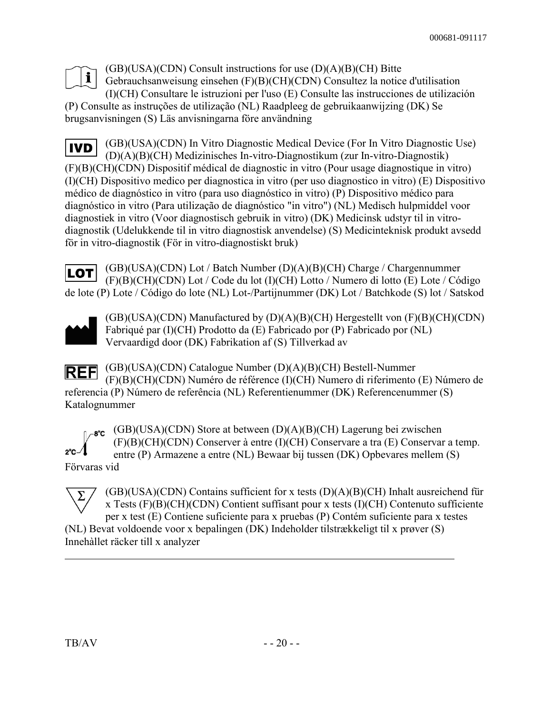

(GB)(USA)(CDN) Consult instructions for use (D)(A)(B)(CH) Bitte Gebrauchsanweisung einsehen (F)(B)(CH)(CDN) Consultez la notice d'utilisation (I)(CH) Consultare le istruzioni per l'uso (E) Consulte las instrucciones de utilización (P) Consulte as instruções de utilização (NL) Raadpleeg de gebruikaanwijzing (DK) Se brugsanvisningen (S) Läs anvisningarna före användning

(GB)(USA)(CDN) In Vitro Diagnostic Medical Device (For In Vitro Diagnostic Use) **IVD** (D)(A)(B)(CH) Medizinisches In-vitro-Diagnostikum (zur In-vitro-Diagnostik) (F)(B)(CH)(CDN) Dispositif médical de diagnostic in vitro (Pour usage diagnostique in vitro) (I)(CH) Dispositivo medico per diagnostica in vitro (per uso diagnostico in vitro) (E) Dispositivo médico de diagnóstico in vitro (para uso diagnóstico in vitro) (P) Dispositivo médico para diagnóstico in vitro (Para utilização de diagnóstico "in vitro") (NL) Medisch hulpmiddel voor diagnostiek in vitro (Voor diagnostisch gebruik in vitro) (DK) Medicinsk udstyr til in vitrodiagnostik (Udelukkende til in vitro diagnostisk anvendelse) (S) Medicinteknisk produkt avsedd för in vitro-diagnostik (För in vitro-diagnostiskt bruk)

(GB)(USA)(CDN) Lot / Batch Number (D)(A)(B)(CH) Charge / Chargennummer LOT (F)(B)(CH)(CDN) Lot / Code du lot (I)(CH) Lotto / Numero di lotto (E) Lote / Código de lote (P) Lote / Código do lote (NL) Lot-/Partijnummer (DK) Lot / Batchkode (S) lot / Satskod



(GB)(USA)(CDN) Manufactured by (D)(A)(B)(CH) Hergestellt von (F)(B)(CH)(CDN) Fabriqué par (I)(CH) Prodotto da (E) Fabricado por (P) Fabricado por (NL) Vervaardigd door (DK) Fabrikation af (S) Tillverkad av

(GB)(USA)(CDN) Catalogue Number (D)(A)(B)(CH) Bestell-Nummer **REF** (F)(B)(CH)(CDN) Numéro de référence (I)(CH) Numero di riferimento (E) Número de referencia (P) Número de referência (NL) Referentienummer (DK) Referencenummer (S) Katalognummer



 $_{0}e^{\theta^c}$  (GB)(USA)(CDN) Store at between (D)(A)(B)(CH) Lagerung bei zwischen (F)(B)(CH)(CDN) Conserver à entre (I)(CH) Conservare a tra (E) Conservar a temp. entre (P) Armazene a entre (NL) Bewaar bij tussen (DK) Opbevares mellem (S)

Förvaras vid



(GB)(USA)(CDN) Contains sufficient for x tests (D)(A)(B)(CH) Inhalt ausreichend für x Tests  $(F)(B)(CH)(CDN)$  Contient suffisant pour x tests  $(I)(CH)$  Contenuto sufficiente per x test (E) Contiene suficiente para x pruebas (P) Contém suficiente para x testes

(NL) Bevat voldoende voor x bepalingen (DK) Indeholder tilstrækkeligt til x prøver (S) Innehàllet räcker till x analyzer